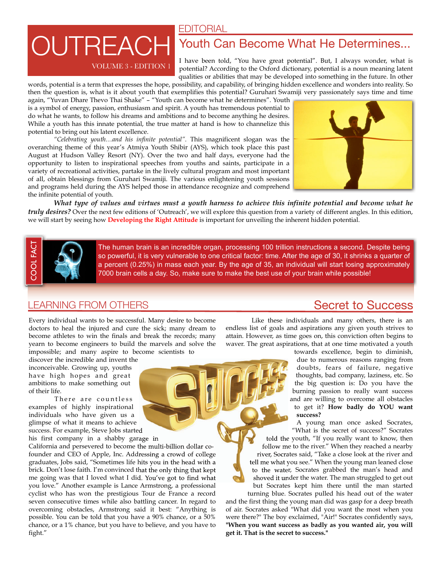EDITORIAL

# VOLUME 3 - EDITION 1 **DUTREAC**

## Youth Can Become What He Determines...

I have been told, "You have great potential". But, I always wonder, what is potential? According to the Oxford dictionary, potential is a noun meaning latent qualities or abilities that may be developed into something in the future. In other

words, potential is a term that expresses the hope, possibility, and capability, of bringing hidden excellence and wonders into reality. So then the question is, what is it about youth that exemplifies this potential? Guruhari Swamiji very passionately says time and time again, "Yuvan Dhare Thevo Thai Shake" – "Youth can become what he determines". Youth is a symbol of energy, passion, enthusiasm and spirit. A youth has tremendous potential to do what he wants, to follow his dreams and ambitions and to become anything he desires. While a youth has this innate potential, the true matter at hand is how to channelize this potential to bring out his latent excellence.

*"Celebrating youth…and his infinite potential".* This magnificent slogan was the overarching theme of this year's Atmiya Youth Shibir (AYS), which took place this past August at Hudson Valley Resort (NY). Over the two and half days, everyone had the opportunity to listen to inspirational speeches from youths and saints, participate in a variety of recreational activities, partake in the lively cultural program and most important of all, obtain blessings from Guruhari Swamiji. The various enlightening youth sessions and programs held during the AYS helped those in attendance recognize and comprehend the infinite potential of youth.



*What type of values and virtues must a youth harness to achieve this infinite potential and become what he truly desires?* Over the next few editions of 'Outreach', we will explore this question from a variety of different angles. In this edition, we will start by seeing how **Developing the Right Attitude** is important for unveiling the inherent hidden potential.



The human brain is an incredible organ, processing 100 trillion instructions a second. Despite being so powerful, it is very vulnerable to one critical factor: time. After the age of 30, it shrinks a quarter of a percent (0.25%) in mass each year. By the age of 35, an individual will start losing approximately 7000 brain cells a day. So, make sure to make the best use of your brain while possible!

### LEARNING FROM OTHERS Secret to Success

Every individual wants to be successful. Many desire to become doctors to heal the injured and cure the sick; many dream to become athletes to win the finals and break the records; many yearn to become engineers to build the marvels and solve the impossible; and many aspire to become scientists to

discover the incredible and invent the inconceivable. Growing up, youths have high hopes and great ambitions to make something out of their life.

There are countless examples of highly inspirational individuals who have given us a glimpse of what it means to achieve success. For example, Steve Jobs started

his first company in a shabby garage in

California and persevered to become the multi-billion dollar cofounder and CEO of Apple, Inc. Addressing a crowd of college graduates, Jobs said, "Sometimes life hits you in the head with a brick. Don't lose faith. I'm convinced that the only thing that kept me going was that I loved what I did. You've got to find what you love." Another example is Lance Armstrong, a professional cyclist who has won the prestigious Tour de France a record seven consecutive times while also battling cancer. In regard to overcoming obstacles, Armstrong said it best: "Anything is possible. You can be told that you have a 90% chance, or a 50% chance, or a 1% chance, but you have to believe, and you have to fight."

Like these individuals and many others, there is an endless list of goals and aspirations any given youth strives to attain. However, as time goes on, this conviction often begins to waver. The great aspirations, that at one time motivated a youth

towards excellence, begin to diminish, due to numerous reasons ranging from doubts, fears of failure, negative thoughts, bad company, laziness, etc. So the big question is: Do you have the burning passion to really want success and are willing to overcome all obstacles to get it? **How badly do YOU want success?**

A young man once asked Socrates, "What is the secret of success?" Socrates

told the youth, "If you really want to know, then follow me to the river." When they reached a nearby river, Socrates said, "Take a close look at the river and tell me what you see." When the young man leaned close to the water, Socrates grabbed the man's head and shoved it under the water. The man struggled to get out but Socrates kept him there until the man started

turning blue. Socrates pulled his head out of the water and the first thing the young man did was gasp for a deep breath of air. Socrates asked "What did you want the most when you were there?" The boy exclaimed, "Air!" Socrates confidently says, **"When you want success as badly as you wanted air, you will get it. That is the secret to success."**